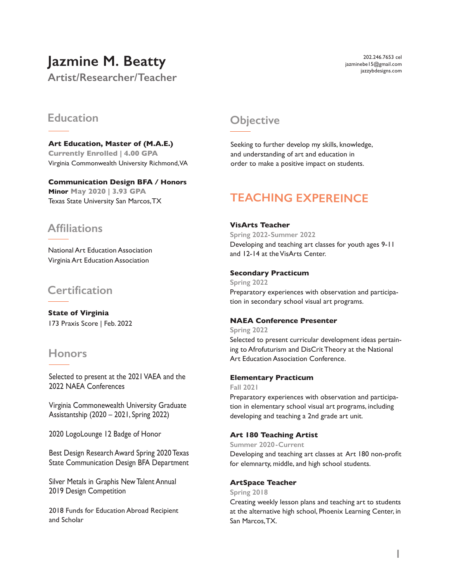# **Jazmine M. Beatty**

**Artist/Researcher/Teacher**

202.246.7653 cel jazminebe15@gmail.com jazzybdesigns.com

## **Education Objective**

**Art Education, Master of (M.A.E.) Currently Enrolled | 4.00 GPA** Virginia Commonwealth University Richmond, VA

**Communication Design BFA / Honors Minor May 2020 | 3.93 GPA** Texas State University San Marcos, TX

## **Affiliations**

National Art Education Association Virginia Art Education Association

## **Certification**

**State of Virginia** 173 Praxis Score | Feb. 2022

## **Honors**

Selected to present at the 2021 VAEA and the 2022 NAEA Conferences

Virginia Commonewealth University Graduate Assistantship (2020 – 2021, Spring 2022)

2020 LogoLounge 12 Badge of Honor

Best Design Research Award Spring 2020 Texas State Communication Design BFA Department

Silver Metals in Graphis New Talent Annual 2019 Design Competition

2018 Funds for Education Abroad Recipient and Scholar

Seeking to further develop my skills, knowledge, and understanding of art and education in order to make a positive impact on students.

# **TEACHING EXPEREINCE**

#### **VisArts Teacher**

**Spring 2022-Summer 2022** Developing and teaching art classes for youth ages 9-11 and 12-14 at the VisArts Center.

#### **Secondary Practicum**

**Spring 2022** Preparatory experiences with observation and participation in secondary school visual art programs.

### **NAEA Conference Presenter**

**Spring 2022** Selected to present curricular development ideas pertaining to Afrofuturism and DisCrit Theory at the National Art Education Association Conference.

#### **Elementary Practicum**

**Fall 2021**

Preparatory experiences with observation and participation in elementary school visual art programs, including developing and teaching a 2nd grade art unit.

### **Art 180 Teaching Artist**

**Summer 2020-Current** Developing and teaching art classes at Art 180 non-profit for elemnarty, middle, and high school students.

#### **ArtSpace Teacher**

**Spring 2018**

Creating weekly lesson plans and teaching art to students at the alternative high school, Phoenix Learning Center, in San Marcos, TX.